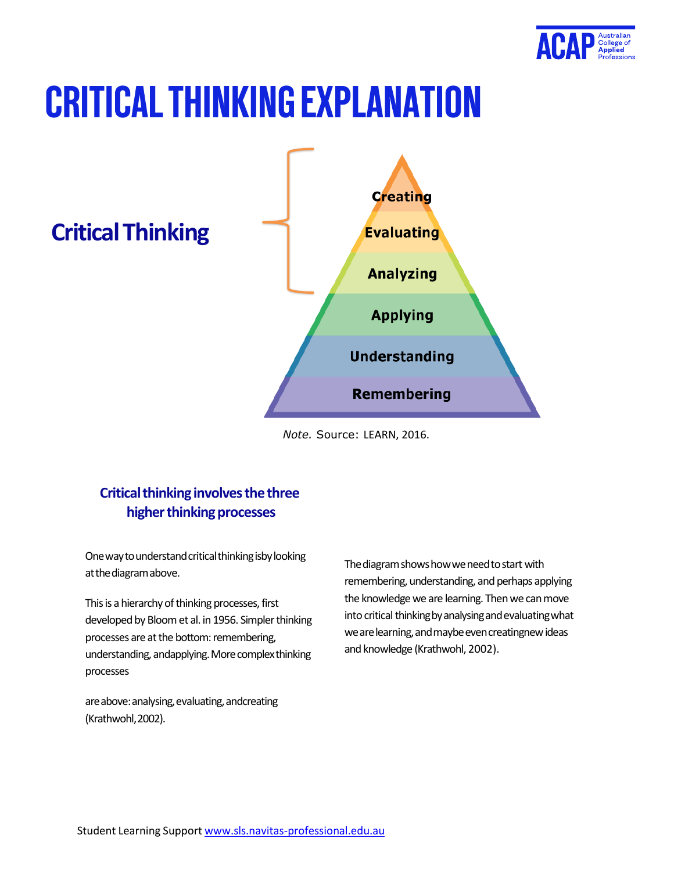

# **CRITICAL THINKING EXPLANATION**

**CriticalThinking**



*Note.* Source: LEARN, 2016.

## **Critical thinking involves the three higher thinking processes**

One way to understand critical thinking isby looking at the diagram above.

This is a hierarchy of thinking processes, first developed by Bloom et al. in 1956. Simpler thinking processes are at the bottom: remembering, understanding, andapplying. More complex thinking processes

are above: analysing, evaluating, andcreating (Krathwohl,2002).

The diagram shows how we need to start with remembering, understanding, and perhaps applying the knowledge we are learning. Then we can move into critical thinking by analysing and evaluating what we are learning, and maybe even creatingnew ideas and knowledge (Krathwohl, 2002).